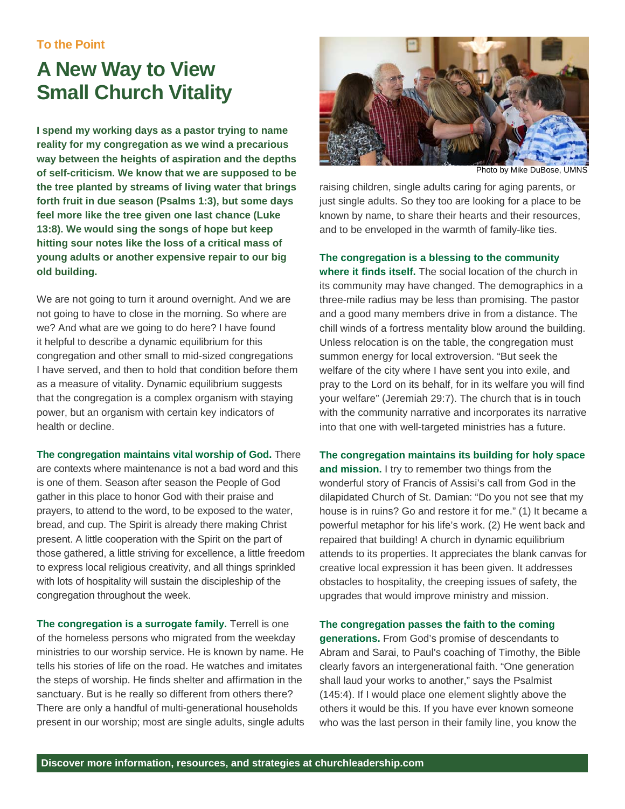## **A New Way to View Small Church Vitality**

**I spend my working days as a pastor trying to name reality for my congregation as we wind a precarious way between the heights of aspiration and the depths of self-criticism. We know that we are supposed to be the tree planted by streams of living water that brings forth fruit in due season (Psalms 1:3), but some days feel more like the tree given one last chance (Luke 13:8). We would sing the songs of hope but keep hitting sour notes like the loss of a critical mass of young adults or another expensive repair to our big old building.** 

We are not going to turn it around overnight. And we are not going to have to close in the morning. So where are we? And what are we going to do here? I have found it helpful to describe a dynamic equilibrium for this congregation and other small to mid-sized congregations I have served, and then to hold that condition before them as a measure of vitality. Dynamic equilibrium suggests that the congregation is a complex organism with staying power, but an organism with certain key indicators of health or decline.

**The congregation maintains vital worship of God.** There are contexts where maintenance is not a bad word and this is one of them. Season after season the People of God gather in this place to honor God with their praise and prayers, to attend to the word, to be exposed to the water, bread, and cup. The Spirit is already there making Christ present. A little cooperation with the Spirit on the part of those gathered, a little striving for excellence, a little freedom to express local religious creativity, and all things sprinkled with lots of hospitality will sustain the discipleship of the congregation throughout the week.

**The congregation is a surrogate family.** Terrell is one of the homeless persons who migrated from the weekday ministries to our worship service. He is known by name. He tells his stories of life on the road. He watches and imitates the steps of worship. He finds shelter and affirmation in the sanctuary. But is he really so different from others there? There are only a handful of multi-generational households present in our worship; most are single adults, single adults



Photo by Mike DuBose, UMNS

raising children, single adults caring for aging parents, or just single adults. So they too are looking for a place to be known by name, to share their hearts and their resources, and to be enveloped in the warmth of family-like ties.

**The congregation is a blessing to the community** 

**where it finds itself.** The social location of the church in its community may have changed. The demographics in a three-mile radius may be less than promising. The pastor and a good many members drive in from a distance. The chill winds of a fortress mentality blow around the building. Unless relocation is on the table, the congregation must summon energy for local extroversion. "But seek the welfare of the city where I have sent you into exile, and pray to the Lord on its behalf, for in its welfare you will find your welfare" (Jeremiah 29:7). The church that is in touch with the community narrative and incorporates its narrative into that one with well-targeted ministries has a future.

**The congregation maintains its building for holy space and mission.** I try to remember two things from the wonderful story of Francis of Assisi's call from God in the dilapidated Church of St. Damian: "Do you not see that my house is in ruins? Go and restore it for me." (1) It became a powerful metaphor for his life's work. (2) He went back and repaired that building! A church in dynamic equilibrium attends to its properties. It appreciates the blank canvas for creative local expression it has been given. It addresses obstacles to hospitality, the creeping issues of safety, the upgrades that would improve ministry and mission.

**The congregation passes the faith to the coming generations.** From God's promise of descendants to Abram and Sarai, to Paul's coaching of Timothy, the Bible clearly favors an intergenerational faith. "One generation shall laud your works to another," says the Psalmist (145:4). If I would place one element slightly above the others it would be this. If you have ever known someone who was the last person in their family line, you know the